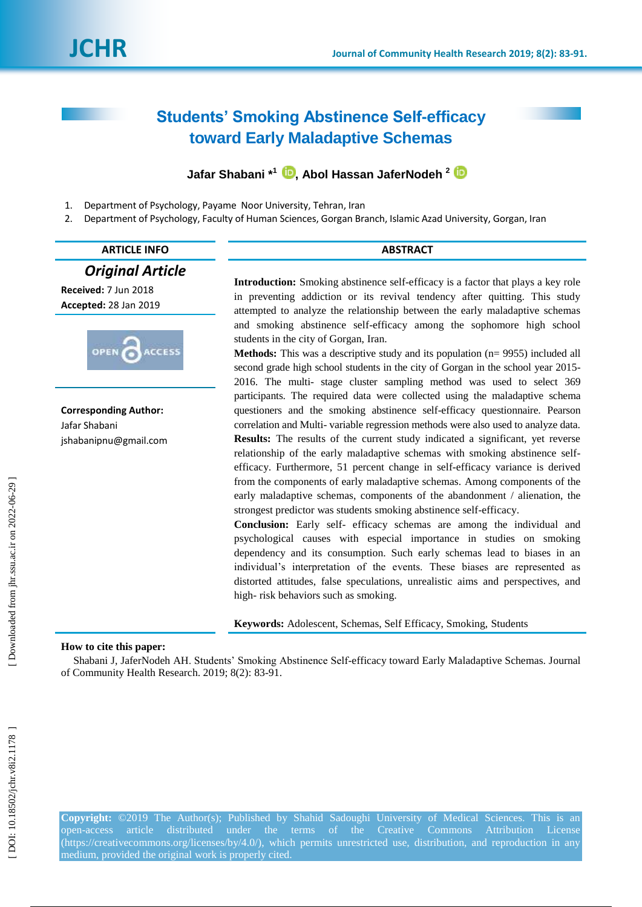# **Students' Smoking Abstinence Self-efficacy toward Early Maladaptive Schemas**

## **Jafar Shabani \*<sup>1</sup> [,](https://orcid.org/0000-0002-4453-6662) Abol Hassan JaferNodeh 2**

- 1 . Department of Psychology, Payame Noor University, Tehran, Iran
- 2 . Department of Psychology, Faculty of Human Sciences, Gorgan Branch, Islamic Azad University, Gorgan, Iran

#### **ARTICLE INFO ABSTRACT**

#### *Original Article*

**Received:**  7 Jun 2018 **Accepted:** 28 Jan 201 9



**Corresponding Author:** Jafar Shabani jshabanipnu@gmail.com

**Introduction:** Smoking abstinence self-efficacy is a factor that plays a key role in preventing addiction or its revival tendency after quitting. This study attempted to analyze the relationship between the early maladaptive schemas and smoking abstinence self -efficacy among the sophomore high school students in the city of Gorgan, Iran.

**Methods:** This was a descriptive study and its population (n= 9955) included all second grade high school students in the city of Gorgan in the school year 2015 - 2016. The multi - stage cluster sampling method was used to select 369 participants. The required data were collected using the maladaptive schema questioners and the smoking abstinence self-efficacy questionnaire. Pearson correlation and Multi - variable regression methods were also used to analyze data. **Results:** The results of the current study indicated a significant, yet reverse relationship of the early maladaptive schemas with smoking abstinence self efficacy. Furthermore, 51 percent change in self-efficacy variance is derived from the components of early maladaptive schemas. Among components of the early maladaptive schemas, components of the abandonment / alienation, the strongest predictor was students smoking abstinence self -efficacy.

**Conclusion:** Early self- efficacy schemas are among the individual and psychological causes with especial importance in studies on smoking dependency and its consumption. Such early schemas lead to biases in an individual's interpretation of the events. These biases are represented as distorted attitudes, false speculations, unrealistic aims and perspectives, and high - risk behaviors such as smoking.

**Keywords:** Adolescent, Schemas, Self Efficacy, Smoking, Students

#### **How to cite this paper:**

Shabani J, JaferNodeh AH. Students' Smoking Abstinence Self-efficacy toward Early Maladaptive Schemas. Journal of Community Health Research. 2019; 8(2): 83 -91 .

**Copyright:** ©201 9 The Author(s); Published by Shahid Sadoughi University of Medical Sciences. This is an open-access article distributed under the terms of the Creative Commons Attribution License [\(https://creativecommons.org/licenses/by/4.0/\)](https://creativecommons.org/licenses/by/4.0/), which permits unrestricted use, distribution, and reproduction in any medium, provided the original work is properly cited.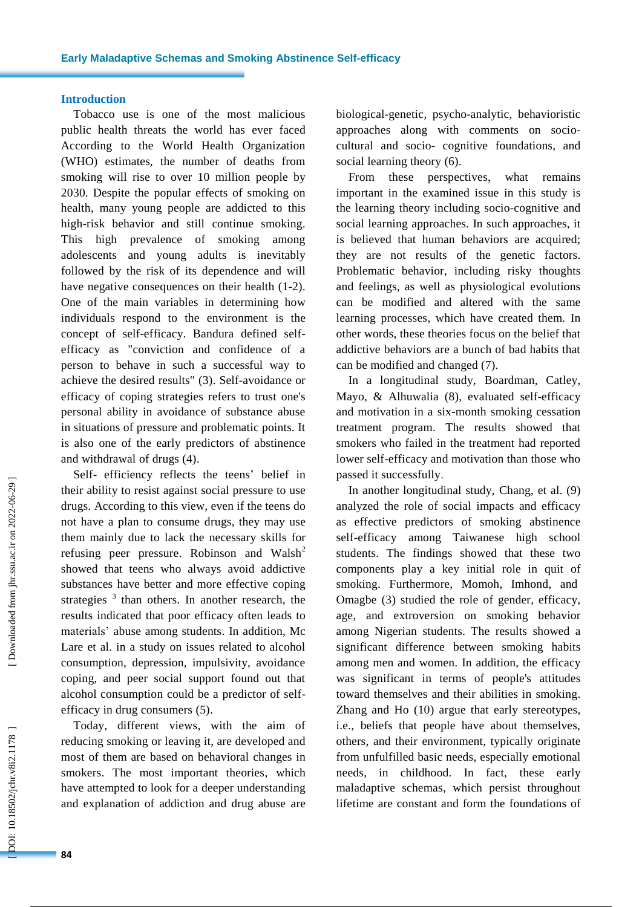#### **Introduction**

Tobacco use is one of the most malicious public health threats the world has ever faced According to the World Health Organization (WHO) estimates, the number of deaths from smoking will rise to over 10 million people by 2030 . Despite the popular effects of smoking on health, many young people are addicted to this high -risk behavior and still continue smoking. This high prevalence of smoking among adolescents and young adults is inevitably followed by the risk of its dependence and will have negative consequences on their health (1-2). One of the main variables in determining how individual s respon d to the environment is the concept of self -efficacy. Bandura define d self efficacy as "conviction and confidence of a person to behave in such a successful way to achieve the desired results" ( 3 ). Self -avoidance or efficacy of coping strategies refers to trust one's personal ability in avoidance of substance abuse in situations of pressure and problematic points. It is also one of the early predictors of abstinence and withdrawal of drugs ( 4 ) .

Self- efficiency reflects the teens' belief in their ability to resist against social pressure to use drug s. According to this view, even if the teen s do not have a plan to consume drugs, they may use them mainly due to lack the necessary skills for refusing peer pressure. Robinson and Walsh<sup>2</sup> showed that teens who always avoid addictive substances have better and more effective coping strategies  $3$  than others. In another research, the results indicated that poor efficacy often leads to materials' abuse among students . In addition, Mc Lare et al . in a study on issues related to alcohol consumption, depression, impulsivity, avoidance coping, and peer social support found out that alcohol consumption could be a predictor of self efficacy in drug consumers ( 5 ).

Today, different views , with the aim of reducing smoking or leaving it, are developed and most of them are based on behavioral change s in smokers. The most important theories , which have attempted to look for a deeper understanding and explanation of addiction and drug abuse are

biological -genetic, psycho -analytic, behavioristic approaches along with comments on sociocultural and socio - cognitive foundations, and social learning theory (6).

From these perspectives, what remains important in the examined issue in this study is the learning theory including socio-cognitive and social learning approaches. In such approaches, it is believe d that human behaviors are acquired; they are not results of the genetic factors. Problematic behavior, including risky thoughts and feelings , as well as physiological evolutions can be modified and altered with the same learning processes , which have created them. In other words, these theories focus on the belief that addictive behaviors are a bunch of bad habits that can be modified and changed (7).

In a longitudinal study, Boardman, Catley, Mayo, & Alhuwalia (8), evaluated self-efficacy and motivation in a six -month smoking cessation treatment program . The results showed that smokers who failed in the treatment had reported lower self -efficacy and motivation than those who passed it successfully .

In another longitudinal study, Chang, et al. (9) analyzed the role of social impact s and efficacy as effective predictors of smoking abstinence self -efficacy among Taiwanese high school students. The findings showed that these two components play a key initial role in quit of smoking. Furthermore, Momoh, Imhond , and Omagbe ( 3 ) studied the role of gender , efficacy, age , and extroversion on smoking behavior among Nigerian students. The results showed a significant difference between smoking habits among men and women. In addition, the efficacy was significant in terms of people's attitudes toward themselves and their abilities in smoking . Zhang and Ho (10 ) argue that early stereotypes, i.e., beliefs that people have about themselves, others , and their environment, typically originate from unfulfilled basic needs, especially emotional needs , in childhood. In fact, these early maladaptive schemas , which persist throughout lifetime are constant and form the foundations of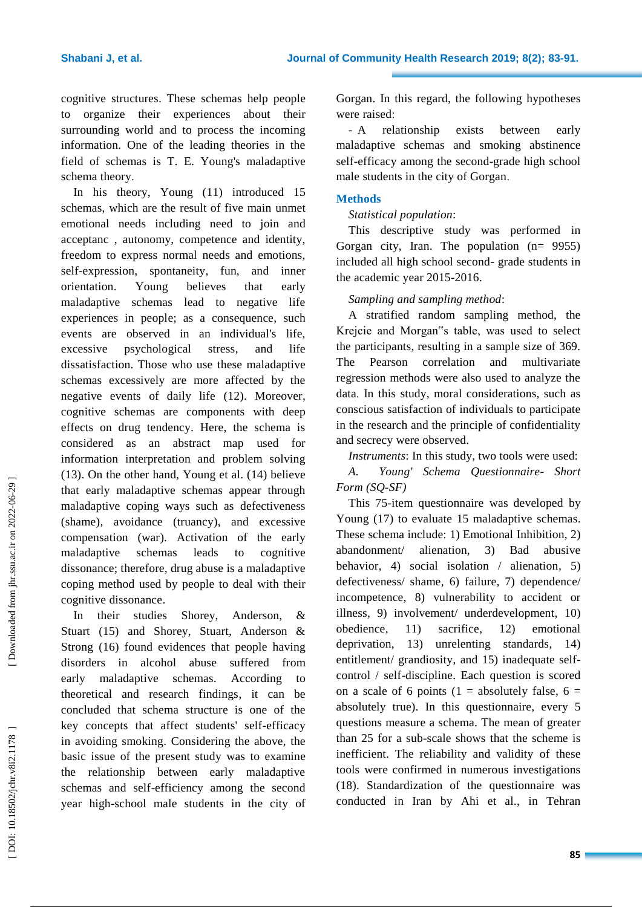cognitive structures. These schemas help people to organize their experiences about their surrounding world and to process the incoming information. One of the leading theories in the field of schemas is T. E. Young's maladaptive schema theory .

In his theory, Young (11 ) introduced 15 schemas, which are the result of five main unmet emotional needs including need to join and acceptanc , autonomy, competence and identity, freedom to express normal needs and emotions, self -expression, spontaneity , fun , and inner orientation. Young believes that early maladaptive schemas lead to negative life experiences in people; as a consequence, such events are observed in an individual's life, excessive psychological stress , and life dissatisfaction. Those who use these maladaptive schemas excessively are more affected by the negative events of daily life ( 1 2 ). Moreover, cognitive schemas are components with deep effects on drug tendency. Here, the schema is considered as an abstract map used for information interpretation and problem solving (13). On the other hand, Young et al. (14) believe that early maladaptive schemas appear through maladaptive coping ways such as defectiveness (shame), avoidance (truancy), and excessive compensation (war). Activation of the early maladaptive schemas leads to cognitive dissonance; therefore, drug abuse is a maladaptive coping method used by people to deal with their cognitive dissonance .

In their studies Shorey, Anderson, & Stuart (15) and Shorey, Stuart, Anderson & Strong (16 ) found evidence s that people having disorders in alcohol abuse suffered from early maladaptive schemas. According to theoretical and research findings, it can be concluded that schema structure is one of the key concepts that affect students' self -efficacy in avoiding smoking. Considering the above, the basic issue of the present study was to examine the relationship between early maladaptive schemas and self -efficiency among the second year high -school male students i n the city of Gorgan. In this regard, the following hypotheses were raised :

 relationship exists between early maladaptive schemas and smoking abstinence self -efficacy among the second -grade high school male students in the city of Gorgan .

#### **Methods**

#### *Statistical population* :

This descriptive study was performed in Gorgan city, Iran. The population (n= 9955) included all high school second - grade students in the academic year 2015 -2016.

*Sampling and sampling method* :

A stratified random sampling method, the Krejcie and Morgan"s table, was used to select the participants, resulting in a sample size of 369. The Pearson correlation and multivariate regression methods were also used to analyze the data . In this study, moral considerations, such as conscious satisfaction of individuals to participate in the research and the principle of confidentiality and secrecy were observed.

*Instruments*: In this study, two tools were used:

*A. Young' Schema Questionnaire - Short Form (SQ -SF)*

This 75 -item questionnaire was developed by Young (17) to evaluate 15 maladaptive schemas. These schema include : 1) Emotional Inhibition , 2)  $ab$ andonment/ alienation. 3 ) Bad abusive behavior, 4) social isolation / alienation, 5) defectiveness/ shame, 6) failure, 7) dependence/ incompetence , 8 ) vulnerability to accident or illness, 9) involvement/ underdevelopment, 10) obedience , 11 sacrifice.  $12)$ ) emotional deprivation , 13 ) unrelenting standards , 14) entitlement/ grandiosity, and 15) inadequate selfcontrol / self -discipline . Each question is scored on a scale of 6 points ( $1 =$  absolutely false,  $6 =$ absolutely true). In this questionnaire, every 5 questions measure a schema. The mean of greater than 25 for a sub -scale shows that the scheme is inefficient. The reliability and validity of these tools were confirmed in numerous investigations (18). Standardization of the questionnaire was conducted in Iran by Ahi et al., i n Tehran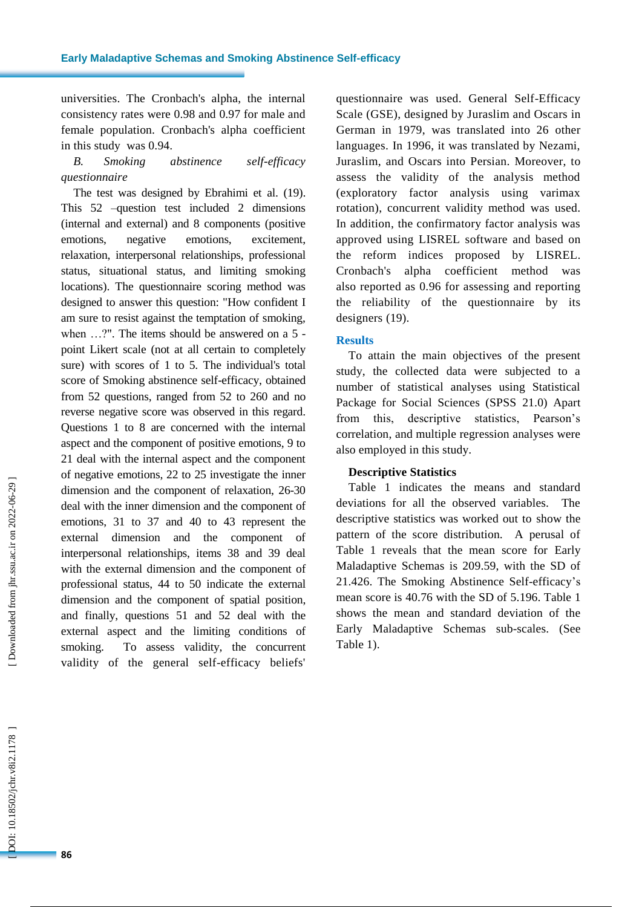universities . The Cronbach's alpha , the internal consistency rates were 0.98 and 0.97 for male and female population. Cronbach's alpha coefficient in this study was 0.94.

### *B. Smoking abstinence self-efficacy questionnaire*

The test was designed by Ebrahimi et al. (19). This 52 –question test included 2 dimensions (internal and external) and 8 components (positive emotions, negative emotions, excitement, relaxation, interpersonal relationships, professional status, situational status, and limiting smoking locations). The questionnaire scoring method was designed to answer this question: " How confident I am sure to resist against the temptation of smoking, when ...?". The items should be answered on a 5 point Likert scale (not at all certain to completely sure) with score s of 1 to 5. The individual's total score of Smoking abstinence self-efficacy, obtained from 52 questions, ranged from 52 to 260 and no reverse negative score was observed in this regard . Questions 1 to 8 are concerned with the internal aspect and the component of positive emotions, 9 to 21 deal with the internal aspect a nd the component of negative emotions, 22 to 25 investigate the inner dimension and the component of relaxation, 26 -30 deal with the inner dimension and the component of emotions, 31 to 37 and 40 to 43 represent the external dimension and the component of interpersonal relationships, items 38 and 39 deal with the external dimension and the component of professional status, 44 to 50 indicate the external dimension and the component of spatial position, and finally, questions 51 and 52 deal with the external aspect and the limiting conditions of smoking. To assess validity, the concurrent validity of the general self -efficacy beliefs'

questionnaire was used. General Self -Efficacy Scale (GSE), designed by Juraslim and Oscars in German in 1979, was translated into 26 other languages. In 1996, it was translated by Nezami, Juraslim , and Oscars into Persian. Moreover, to assess the validity of the analysis method (exploratory factor analysis using varimax rotation) , concurrent validity method was used. In addition , the confirmatory factor analysis was approved using LISREL software and based on the reform indices proposed by LISREL. Cronbach's alpha coefficient method was also reported as 0.96 for assessing and reporting the reliability of the questionnaire by its designers (19).

#### **Results**

To attain the main objectives of the present study, the collected data were subjected to a number of statistical analyses using Statistical Package for Social Sciences (SPSS 21.0) Apart from this, descriptive statistics, Pearson's correlation , and multiple regression analyses were also employed in this study.

#### **Descriptive Statistics**

Table 1 indicates the means and standard deviations for all the observed variables. The descriptive statistics was worked out to show the pattern of the score distribution. A perusal of Table 1 reveals that the mean score for Early Maladaptive Schemas is 209.59, with the SD of 21.426. The Smoking Abstinence Self -efficacy's mean score is 40.76 with the SD of 5.196. Table 1 shows the mean and standard deviation of the Early Maladaptive Schema s sub -scales. (See Table 1) .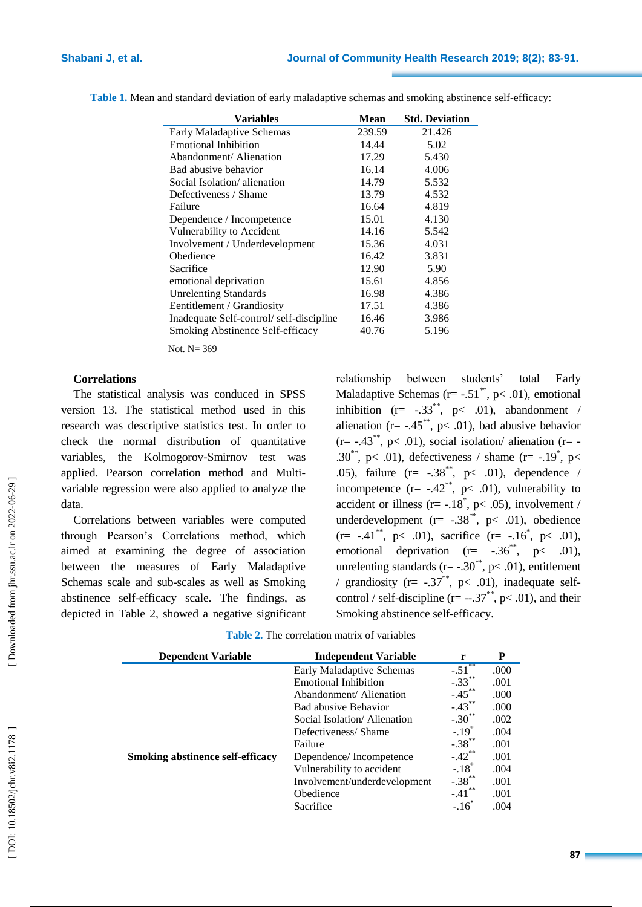| Variables                               | <b>Mean</b> | <b>Std. Deviation</b> |
|-----------------------------------------|-------------|-----------------------|
| <b>Early Maladaptive Schemas</b>        | 239.59      | 21.426                |
| <b>Emotional Inhibition</b>             | 14.44       | 5.02                  |
| Abandonment/ Alienation                 | 17.29       | 5.430                 |
| Bad abusive behavior                    | 16.14       | 4.006                 |
| Social Isolation/alienation             | 14.79       | 5.532                 |
| Defectiveness / Shame                   | 13.79       | 4.532                 |
| Failure                                 | 16.64       | 4.819                 |
| Dependence / Incompetence               | 15.01       | 4.130                 |
| Vulnerability to Accident               | 14.16       | 5.542                 |
| Involvement / Underdevelopment          | 15.36       | 4.031                 |
| Obedience                               | 16.42       | 3.831                 |
| Sacrifice                               | 12.90       | 5.90                  |
| emotional deprivation                   | 15.61       | 4.856                 |
| <b>Unrelenting Standards</b>            | 16.98       | 4.386                 |
| Eentitlement / Grandiosity              | 17.51       | 4.386                 |
| Inadequate Self-control/self-discipline | 16.46       | 3.986                 |
| <b>Smoking Abstinence Self-efficacy</b> | 40.76       | 5.196                 |

Table 1. Mean and standard deviation of early maladaptive schemas and smoking abstinence self-efficacy:

Not. N= 369

#### **Correlations**

The statistical analysis was conduced in SPSS version 13. The statistical method used in this research was descriptive statistics test. In order to check the normal distribution of quantitative variables , the Kolmogorov -Smirnov test was applied. Pearson correlation method and Multi variable regression were also applied to analyze the data .

Correlations between variables were computed through Pearson's Correlations method, which aimed at examining the degree of association between the measures of Early Maladaptive Schema s scale and sub -scales as well as Smoking abstinence self-efficacy scale. The findings , as depicted in Table 2 , showed a negative significant relationship between students' total Early Maladaptive Schemas ( $r = -.51^{**}$ ,  $p < .01$ ), emotional inhibition  $(r= -.33^{**}, p< .01)$ , abandonment / alienation ( $r = -0.45$ , p< 0.01), bad abusive behavior  $(r=-.43^{**}, p<.01)$ , social isolation/alienation  $(r=$ .30<sup>\*\*</sup>, p< .01), defectiveness / shame (r= -.19<sup>\*</sup>, p< .05), failure  $(r = -.38^{**}, p < .01)$ , dependence / incompetence  $(r= -.42^{**}, p< .01)$ , vulnerability to accident or illness ( $r = -18^*$ ,  $p < .05$ ), involvement / underdevelopment ( $r = -.38$ <sup>\*\*</sup>,  $p < .01$ ), obedience  $(r= -.41^{**}, p< .01)$ , sacrifice  $(r= -.16^{*}, p< .01)$ , emotional deprivation  $(r=-.36^{**}, p<-.01)$ , unrelenting standards ( $r = -.30^{**}$ ,  $p < .01$ ), entitlement / grandiosity ( $r = -.37^{**}$ ,  $p < .01$ ), inadequate selfcontrol / self-discipline (r=  $-.37^*$ , p< .01), and their Smoking abstinence self-efficacy.

| <b>Dependent Variable</b>               | <b>Independent Variable</b>  | r                    | P    |
|-----------------------------------------|------------------------------|----------------------|------|
|                                         | Early Maladaptive Schemas    | $-.51$ **            | .000 |
|                                         | <b>Emotional Inhibition</b>  | $-.33***$            | .001 |
|                                         | Abandonment/Alienation       | $-.45***$            | .000 |
|                                         | Bad abusive Behavior         | $-.43***$            | .000 |
|                                         | Social Isolation/Alienation  | $-.30$ <sup>**</sup> | .002 |
|                                         | Defectiveness/Shame          | $-.19*$              | .004 |
|                                         | Failure                      | $-.38$ <sup>**</sup> | .001 |
| <b>Smoking abstinence self-efficacy</b> | Dependence/Incompetence      | $-.42***$            | .001 |
|                                         | Vulnerability to accident    | $-.18$ <sup>*</sup>  | .004 |
|                                         | Involvement/underdevelopment | $-.38$ **            | .001 |
|                                         | Obedience                    | $-.41$ <sup>'</sup>  | .001 |
|                                         | Sacrifice                    | $-.16$               | .004 |

**Table 2 .** The correlation matrix of variables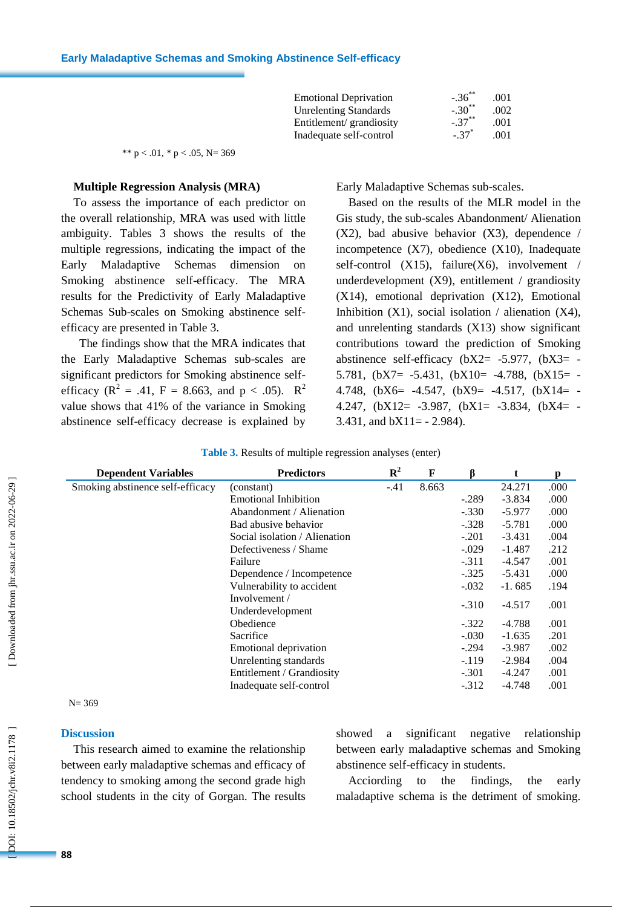| <b>Emotional Deprivation</b> | $-.36***$           | .001 |
|------------------------------|---------------------|------|
| <b>Unrelenting Standards</b> | $-.30^{**}$         | .002 |
| Entitlement/grandiosity      | $-.37***$           | .001 |
| Inadequate self-control      | $-.37$ <sup>*</sup> | .001 |

\*\*  $p < .01$ , \*  $p < .05$ , N= 369

#### **Multiple Regression Analysis (MRA)**

To assess the importance of each predictor on the overall relationship , MRA was used with little ambiguity. Tables 3 show s the results of the multiple regressions, indicating the impact of the Early Maladaptive Schema dimension on Smoking abstinence self-efficacy. The MRA results for the Predictivity of Early Maladaptive Schema s Sub -scales on Smoking abstinence self efficacy are presented in Table 3.

 The findings show that the MRA indicates that the Early Maladaptive Schema s sub -scales are significant predictors for Smoking abstinence self efficacy ( $R^2 = .41$ ,  $F = 8.663$ , and  $p < .05$ ).  $R^2$ value shows that 4 1% of the variance in Smoking abstinence self-efficacy decrease is explained by

Early Maladaptive Schema s sub -scales.

Based on the results of the MLR model in the Gis study, the sub -scales Abandonment/ Alienation (X2), bad abusive behavior (X 3), dependence / incompetence (X 7), obedience (X10), Inadequate self-control (X15), failure(X6), involvement / underdevelopment (X 9), entitlement / grandiosity (X14), emotional deprivation (X12), Emotional Inhibition (X1), social isolation / alienation (X4), and unrelenting standards (X13) show significant contributions toward the prediction of Smoking abstinence self-efficacy  $(bX2 = -5.977, (bX3 = -5.977))$ 5.781,  $(bX7 = -5.431, (bX10 = -4.788, (bX15 = -5.431, (cX16 = -4.788, (dX15 = -5.431, (eX16 = -4.788, (fX16 = -4.788, (fX16 = -4.788, (fX16 = -4.788, (fX16 = -4.788, (gX16 = -4.788, (hX16 = -4.788, (hX16 = -4.788, (hX16 = -4.788, (hX16 = -4.788, (hX16 = -4.788, (hX16 = -$ 4.748,  $(bX6= -4.547, (bX9= -4.517, (bX14= -4.517))$ 4.247,  $(bX12 = -3.987, (bX1 = -3.834, (bX4 = -3.834))$ 3.431, and  $bX11 = -2.984$ ).

| <b>Dependent Variables</b>       | <b>Predictors</b>             | $\mathbf{R}^2$ | F     |         |          | р    |
|----------------------------------|-------------------------------|----------------|-------|---------|----------|------|
| Smoking abstinence self-efficacy | (constant)                    | $-.41$         | 8.663 |         | 24.271   | .000 |
|                                  | <b>Emotional Inhibition</b>   |                |       | $-.289$ | $-3.834$ | .000 |
|                                  | Abandonment / Alienation      |                |       | $-.330$ | $-5.977$ | .000 |
|                                  | Bad abusive behavior          |                |       | $-.328$ | $-5.781$ | .000 |
|                                  | Social isolation / Alienation |                |       | $-.201$ | $-3.431$ | .004 |
|                                  | Defectiveness / Shame         |                |       | $-.029$ | $-1.487$ | .212 |
|                                  | Failure                       |                |       | $-.311$ | $-4.547$ | .001 |
|                                  | Dependence / Incompetence     |                |       | $-.325$ | -5.431   | .000 |
|                                  | Vulnerability to accident     |                |       | $-.032$ | $-1.685$ | .194 |
|                                  | Involvement /                 |                |       | $-.310$ | $-4.517$ | .001 |
|                                  | Underdevelopment              |                |       |         |          |      |
|                                  | Obedience                     |                |       | $-.322$ | $-4.788$ | .001 |
|                                  | Sacrifice                     |                |       | $-.030$ | $-1.635$ | .201 |
|                                  | Emotional deprivation         |                |       | $-.294$ | $-3.987$ | .002 |
|                                  | Unrelenting standards         |                |       | $-.119$ | $-2.984$ | .004 |
|                                  | Entitlement / Grandiosity     |                |       | $-.301$ | $-4.247$ | .001 |
|                                  | Inadequate self-control       |                |       | $-.312$ | $-4.748$ | .001 |

| <b>Table 3.</b> Results of multiple regression analyses (enter) |  |  |  |  |
|-----------------------------------------------------------------|--|--|--|--|
|-----------------------------------------------------------------|--|--|--|--|

 $N = 369$ 

#### **Discussion**

This research aimed to examine the relationship between early maladaptive schemas and efficacy of tendency to smoking among the second grade high school students in the city of Gorgan. The results showed a significant negative relationship between early maladaptive schemas and Smoking abstinence self-efficacy in students.

Acciording to the findings, the early maladaptive schema is the detriment of smoking.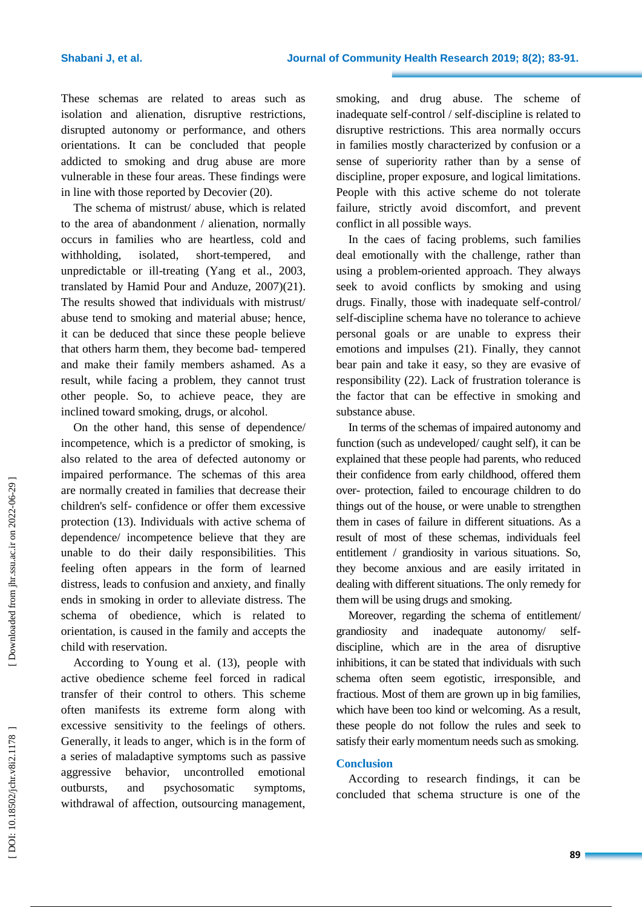These schemas are related to areas such as isolation and alienation, disruptive restrictions , disrupted autonomy or performance , and others orientation s. It can be concluded that people addicted to smoking and drug abuse are more vulnerable in these four areas. These findings were in line with those reported by Decovier (20).

The schema of mistrust/ abuse , which is related to the area of abandonment / alienation, normally occur s in families who are heartless, cold and  $with **holding**$  isolated short-tempered, and unpredictable or ill -treating (Yan g et al., 2003, translated by Hamid Pour and Anduze, 2007)(21). The results showed that individuals with mistrust/ abuse tend to smoking and material abuse; hence, it can be deduced that since these people believe that others harm them, they become bad - tempered and make their family members ashamed. As a result, while facing a problem, they cannot trust other people. So, to achieve peace, they are inclined toward smoking, drugs , or alcoho l .

On the other hand, this sense of dependence/ incompetence , which is a predictor of smoking , is also related to the area of defected autonomy or impaired performance. The schemas of this area are normally created in families that decrease their children's self- confidence or offer them excessive protection (13 ). Individuals with active schema of dependence/ incompetence believe that they are unable to do their daily responsibilities. This feeling often appears in the form of learned distress , leads to confusion and anxiety, and finally ends in smoking in order to alleviate distress. The schema of obedience, which is related to orientatio n , is caused in the family and accept s the child with reservation.

According to Young et al. (13 ), people with active obedience scheme feel forced in radical transfer of their control to others . This scheme often manifest s its extreme form along with excessive sensitivity to the feelings of others. Generally, it leads to anger, which is in the form of a series of maladaptive symptoms such as passive aggressive behavior, uncontrolled emotional outbursts, and psychosomatic symptoms, withdrawal of affection, outsourcing management,

smoking , and drug abuse. The scheme of inadequate self-control / self-discipline is related to disruptive restrictions. This area normally occur s in families mostly characterized by confusion or a sense of superiority rather than by a sense of discipline, proper exposure, and logical limitations. People with this active scheme do not tolerate failure , strictly avoid discomfort , and prevent conflict in all possible way s .

In the caes of facing problems, such families deal emotionally with the challenge, rather than using a problem -oriented approach. They always seek to avoid conflicts by smoking and using drug s. Finally, those with inadequate self-control/ self-discipline schema have no tolerance to achieve personal goals or are unable to express their emotions and impulses (21 ). Finally, they cannot bear pain and take it easy, so they are evasive of responsibility (22 ). Lack of frustration tolerance is the factor that can be effective in smoking and substance abuse .

In terms of the schemas of impaired autonomy and function (such as undeveloped/ caught self), it can be explained that these people had parents , who reduced their confidence from early childhood, offered them over - protection, failed to encourage children to do things out of the house , or were unable to strengthen them in cases of failure in different situations. As a result of most of these schemas, individuals feel entitlement / grandiosity in various situations. So, they become anxious and are easily irritated in dealing with different situations. The only remedy for them will be using drugs and smoking.

Moreover, regarding the schema of entitlement/ grandiosity and inadequate autonomy/ selfdiscipline, which are in the area of disruptive inhibitions, it can be stated that individuals with such schema often seem egotistic, irresponsible, and fractious. Most of them are grown up in big families , which have been too kind or welcoming. As a result, these people do not follow the rules and seek to satisfy their early momentum needs such as smoking.

#### **Conclusion**

According to research findings, it can be concluded that schema structure is one of the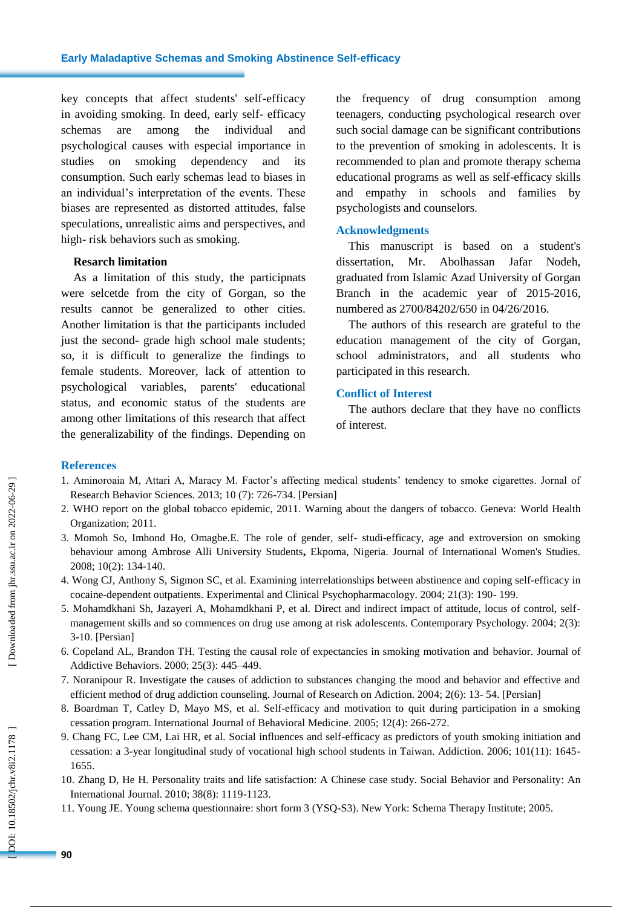key concepts that affect students' self -efficacy in avoiding smoking. In deed, early self- efficacy schemas are among the individual and psychological causes with especial importance in studies on smoking dependency and consumption. Such early schemas lead to biases in an individual's interpretation of the events. These biases are represented as distorted attitudes, false speculations, unrealistic aims and perspectives, and high - risk behaviors such as smoking.

#### **Resarch limitation**

As a limitation of this study, the participnats were selcetde from the city of Gorgan, so the results cannot be generalized to other cities. Another limitation is that the participants included just the second- grade high school male students; so , it is difficult to generalize the findings to female students. Moreover, lack of attention to psychological variables, parents' educational status , and economic status of the students are among other limitations of this research that affect the generalizability of the findings. Depending on

the frequency of drug consumption among teenagers, conducting psychological research over such social damage can be significant contributions to the prevention of smoking in adolescents. It is recommended to plan and promote therapy schema educational programs as well as self -efficacy skills and empathy in schools and families by psychologists and counselors .

#### **Acknowledgments**

This manuscript is based on a student's dissertation, Mr. Abolhassan Jafar Nodeh, graduated from Islamic Azad University of Gorgan Branch in the academic year of 2015 -2016, numbered as 2700/84202/650 in 04/26/2016.

The authors of this research are grateful to the education management of the city of Gorgan, school administrators , and all students who participated in this research .

#### **Conflict of Interest**

The authors declare that they have no conflicts of interest.

#### **References**

- 1. Aminoroaia M, Attari A, Maracy M. Factor's affecting medical students' tendency to smoke cigarettes. Jornal of Research Behavior Sciences. 2013; 10 (7): 726 -734. [Persian]
- 2. WHO report on the global tobacco epidemic, 2011. Warning about the dangers of tobacco. Geneva: World Health Organization; 2011.
- 3. Momoh S o, Imhond H o , Omagbe.E. The role of gender, self studi -efficacy, age and extroversion on smoking behaviour among Ambrose Alli University Students**,** Ekpoma, Nigeria. Journal of International Women's Studies. 2008; 10(2): 134 -140.
- 4. Wong CJ, Anthony S, Sigmon SC, et al. Examining interrelationships between abstinence and coping self -efficacy in cocaine -dependent outpatients. Experimental and Clinical Psychopharmacology. 2004; 21(3): 190 - 199.
- 5. Mohamdkhani Sh, Jazayeri A, Mohamdkhani P, et al. Direct and indirect impact of attitude, locus of control, self management skills and so commences on drug use among at risk adolescents. Contemporary Psychology. 2004; 2(3): 3-10. [Persian]
- 6. Copeland AL, Brandon TH. Testing the causal role of expectancies in smoking motivation and behavior. Journal of Addictive Behaviors. 2000; 25(3): 445 –449.
- 7. Noranipour R. Investigate the causes of addiction to substances changing the mood and behavior and effective and efficient method of drug addiction counseling. Journal of Research on Adiction. 2004; 2(6): 13-54. [Persian]
- 8. Boardman T, Catley D, Mayo MS, et al. Self-efficacy and motivation to quit during participation in a smoking cessation program. International Journal of Behavioral Medicine. 2005; 12(4): 266 -272.
- 9. Chang FC, Lee CM, Lai HR, et al. Social influences and self -efficacy as predictors of youth smoking initiation and cessation: a 3 -year longitudinal study of vocational high school students in Taiwan. Addiction. 2006; 101(11): 1645 - 1655.
- 10. Zhang D, He H. Personality traits and life satisfaction: A Chinese case study. Social Behavior and Personality: An International Journal. 2010; 38(8): 1119 -1123.
- 11. Young JE. Young schema questionnaire : short form 3 (YSQ -S3). New York: Schema Therapy Institute ; 2005.

OOI: 10.18502/jchr.v8i2.1178